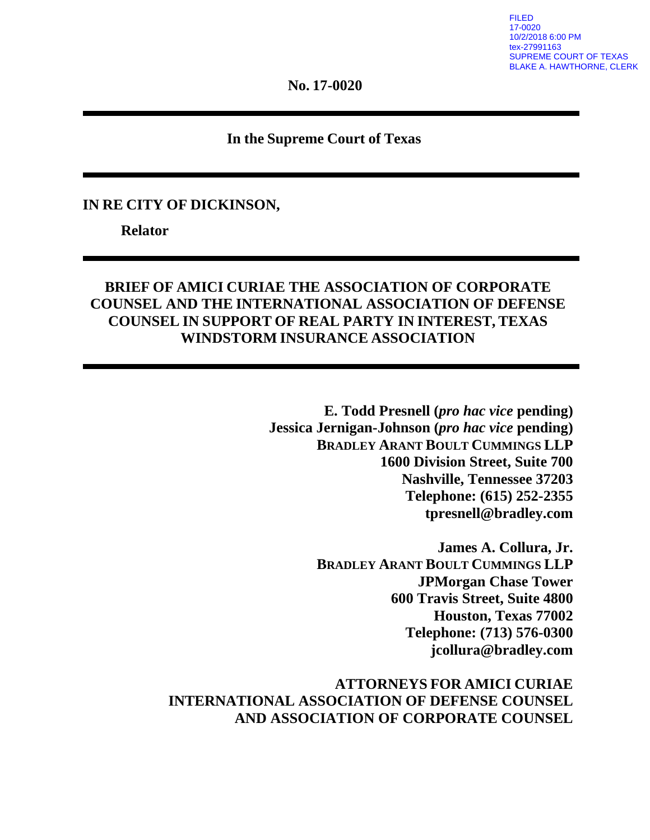**No. 17-0020**

### **In the Supreme Court of Texas**

#### **IN RE CITY OF DICKINSON,**

**Relator**

## **BRIEF OF AMICI CURIAE THE ASSOCIATION OF CORPORATE COUNSEL AND THE INTERNATIONAL ASSOCIATION OF DEFENSE COUNSEL IN SUPPORT OF REAL PARTY IN INTEREST, TEXAS WINDSTORM INSURANCE ASSOCIATION**

**E. Todd Presnell (***pro hac vice* **pending) Jessica Jernigan-Johnson (***pro hac vice* **pending) BRADLEY ARANT BOULT CUMMINGS LLP 1600 Division Street, Suite 700 Nashville, Tennessee 37203 Telephone: (615) 252-2355 tpresnell@bradley.com**

> **James A. Collura, Jr. BRADLEY ARANT BOULT CUMMINGS LLP JPMorgan Chase Tower 600 Travis Street, Suite 4800 Houston, Texas 77002 Telephone: (713) 576-0300 jcollura@bradley.com**

**ATTORNEYS FOR AMICI CURIAE INTERNATIONAL ASSOCIATION OF DEFENSE COUNSEL AND ASSOCIATION OF CORPORATE COUNSEL**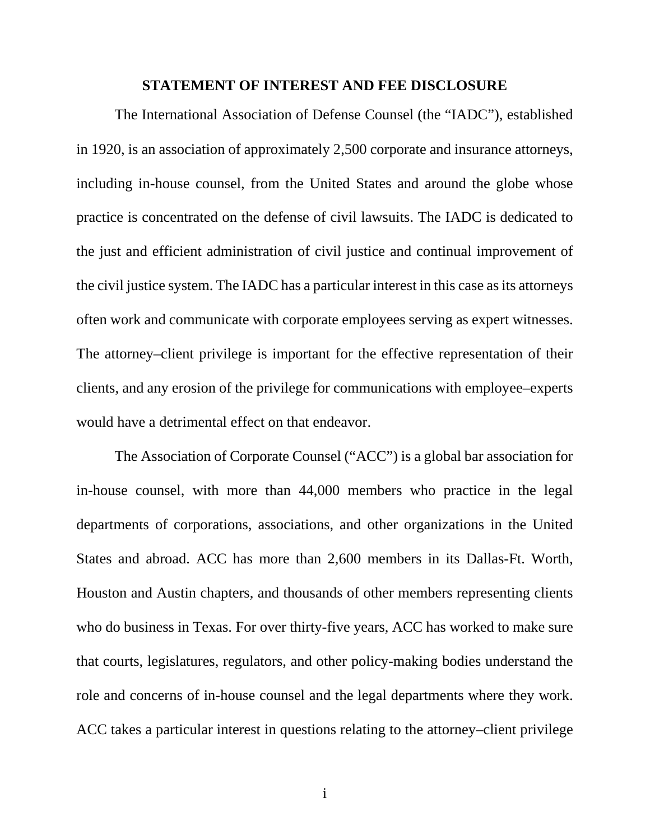#### **STATEMENT OF INTEREST AND FEE DISCLOSURE**

The International Association of Defense Counsel (the "IADC"), established in 1920, is an association of approximately 2,500 corporate and insurance attorneys, including in-house counsel, from the United States and around the globe whose practice is concentrated on the defense of civil lawsuits. The IADC is dedicated to the just and efficient administration of civil justice and continual improvement of the civil justice system. The IADC has a particular interest in this case as its attorneys often work and communicate with corporate employees serving as expert witnesses. The attorney–client privilege is important for the effective representation of their clients, and any erosion of the privilege for communications with employee–experts would have a detrimental effect on that endeavor.

The Association of Corporate Counsel ("ACC") is a global bar association for in-house counsel, with more than 44,000 members who practice in the legal departments of corporations, associations, and other organizations in the United States and abroad. ACC has more than 2,600 members in its Dallas-Ft. Worth, Houston and Austin chapters, and thousands of other members representing clients who do business in Texas. For over thirty-five years, ACC has worked to make sure that courts, legislatures, regulators, and other policy-making bodies understand the role and concerns of in-house counsel and the legal departments where they work. ACC takes a particular interest in questions relating to the attorney–client privilege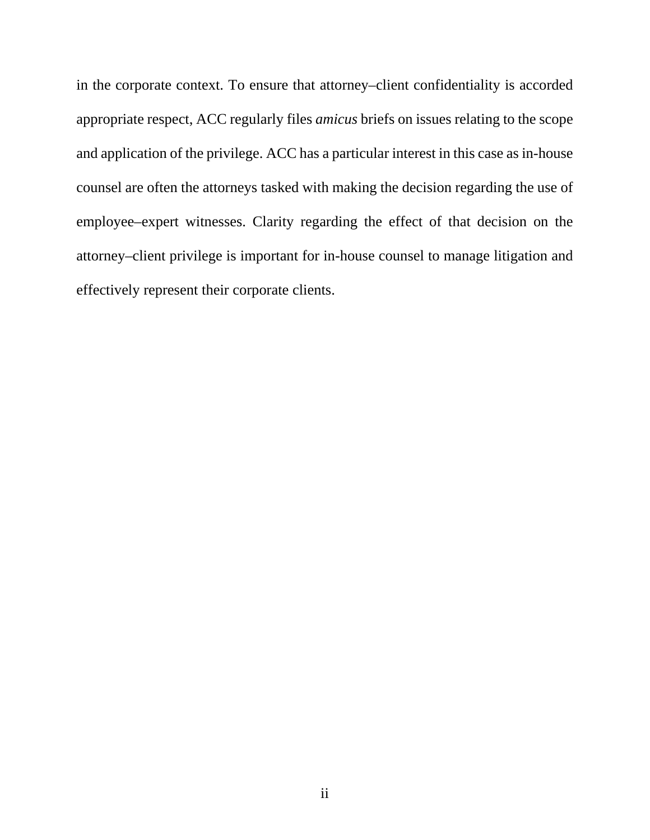in the corporate context. To ensure that attorney–client confidentiality is accorded appropriate respect, ACC regularly files *amicus* briefs on issues relating to the scope and application of the privilege. ACC has a particular interest in this case as in-house counsel are often the attorneys tasked with making the decision regarding the use of employee–expert witnesses. Clarity regarding the effect of that decision on the attorney–client privilege is important for in-house counsel to manage litigation and effectively represent their corporate clients.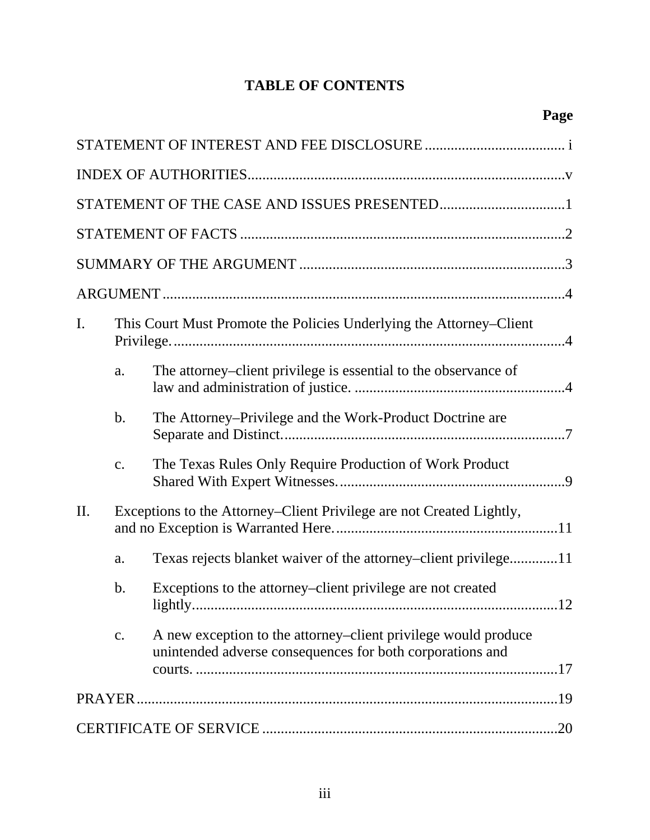# **TABLE OF CONTENTS**

| I.  | This Court Must Promote the Policies Underlying the Attorney-Client  |                                                                                                                             |  |
|-----|----------------------------------------------------------------------|-----------------------------------------------------------------------------------------------------------------------------|--|
|     | a.                                                                   | The attorney–client privilege is essential to the observance of                                                             |  |
|     | $\mathbf b$ .                                                        | The Attorney–Privilege and the Work-Product Doctrine are                                                                    |  |
|     | c.                                                                   | The Texas Rules Only Require Production of Work Product                                                                     |  |
| II. | Exceptions to the Attorney–Client Privilege are not Created Lightly, |                                                                                                                             |  |
|     | a.                                                                   | Texas rejects blanket waiver of the attorney–client privilege11                                                             |  |
|     | b.                                                                   | Exceptions to the attorney–client privilege are not created<br>.12                                                          |  |
|     | c.                                                                   | A new exception to the attorney–client privilege would produce<br>unintended adverse consequences for both corporations and |  |
|     |                                                                      |                                                                                                                             |  |
|     |                                                                      |                                                                                                                             |  |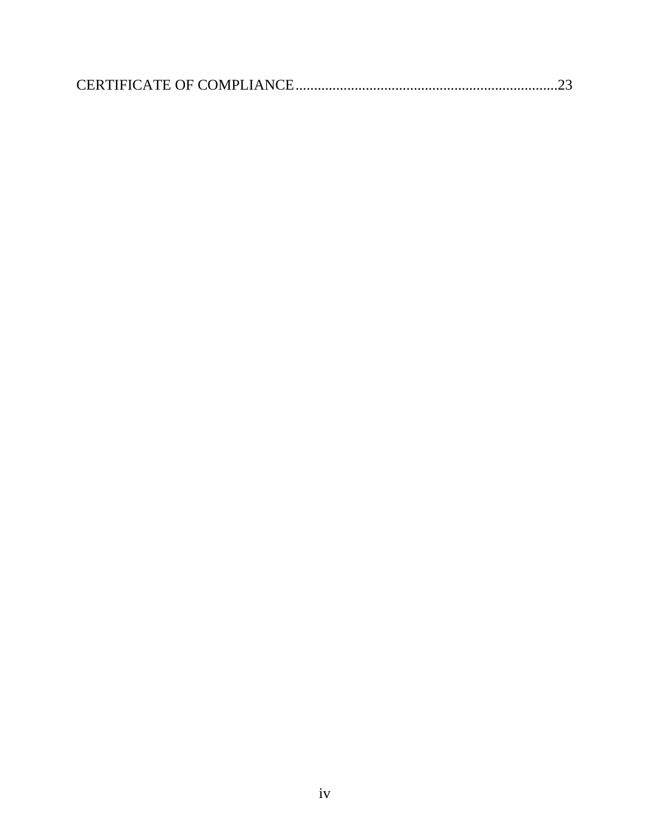|--|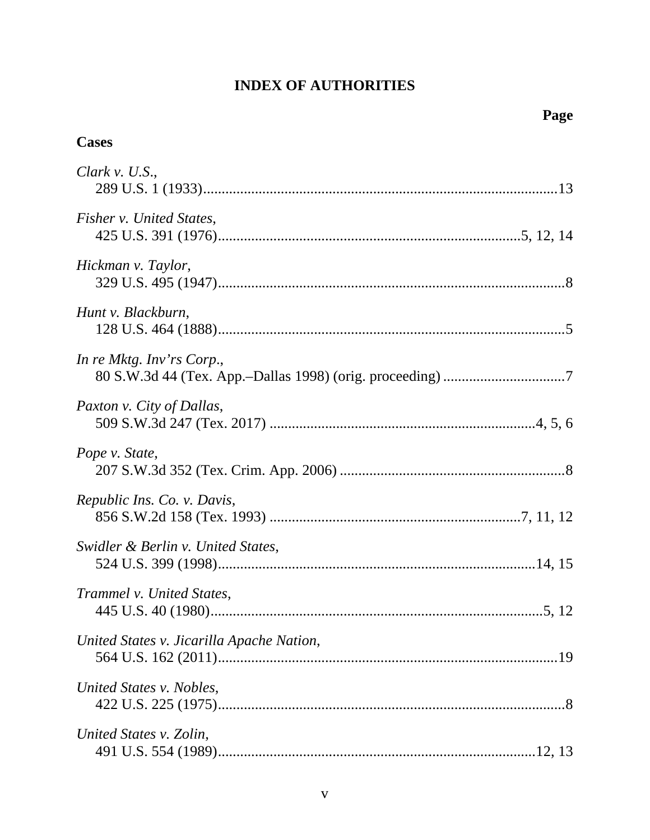## **INDEX OF AUTHORITIES**

# **Cases**

| Clark v. U.S.,                            |
|-------------------------------------------|
| Fisher v. United States,                  |
| Hickman v. Taylor,                        |
| Hunt v. Blackburn,                        |
| In re Mktg. Inv'rs Corp.,                 |
| Paxton v. City of Dallas,                 |
| Pope v. State,                            |
| Republic Ins. Co. v. Davis,               |
| Swidler & Berlin v. United States,        |
| Trammel v. United States,                 |
| United States v. Jicarilla Apache Nation, |
| United States v. Nobles,                  |
| United States v. Zolin,                   |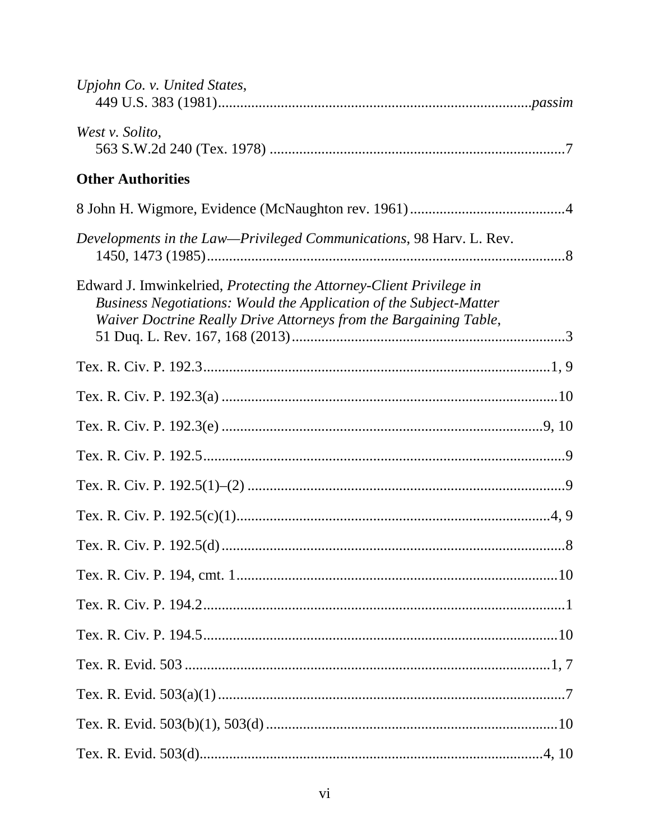| Upjohn Co. v. United States,                                                                                                                                                                                   |
|----------------------------------------------------------------------------------------------------------------------------------------------------------------------------------------------------------------|
| West v. Solito,                                                                                                                                                                                                |
| <b>Other Authorities</b>                                                                                                                                                                                       |
|                                                                                                                                                                                                                |
| Developments in the Law-Privileged Communications, 98 Harv. L. Rev.                                                                                                                                            |
| Edward J. Imwinkelried, Protecting the Attorney-Client Privilege in<br>Business Negotiations: Would the Application of the Subject-Matter<br>Waiver Doctrine Really Drive Attorneys from the Bargaining Table, |
|                                                                                                                                                                                                                |
|                                                                                                                                                                                                                |
|                                                                                                                                                                                                                |
|                                                                                                                                                                                                                |
|                                                                                                                                                                                                                |
|                                                                                                                                                                                                                |
|                                                                                                                                                                                                                |
|                                                                                                                                                                                                                |
|                                                                                                                                                                                                                |
|                                                                                                                                                                                                                |
|                                                                                                                                                                                                                |
|                                                                                                                                                                                                                |
|                                                                                                                                                                                                                |
|                                                                                                                                                                                                                |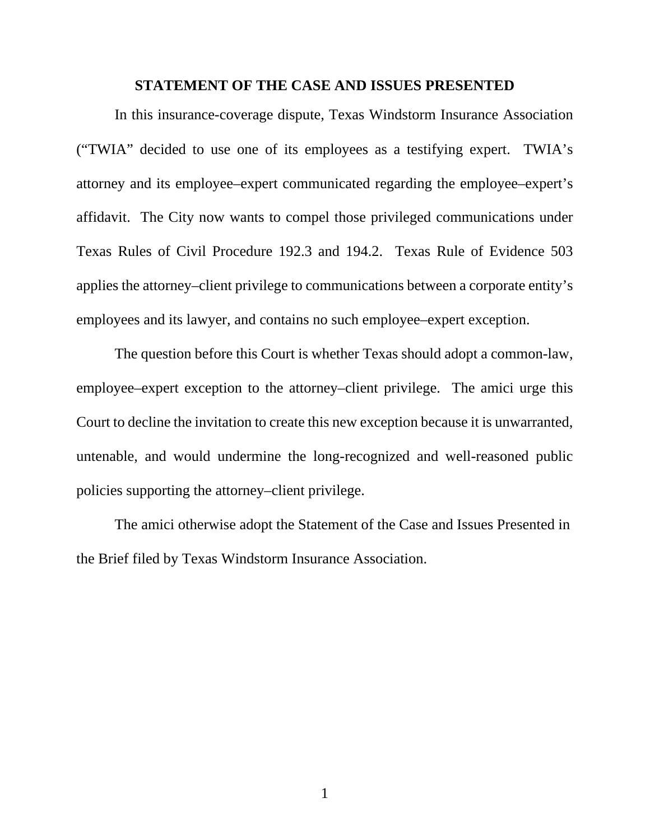#### <span id="page-8-1"></span>**STATEMENT OF THE CASE AND ISSUES PRESENTED**

In this insurance-coverage dispute, Texas Windstorm Insurance Association ("TWIA" decided to use one of its employees as a testifying expert. TWIA's attorney and its employee–expert communicated regarding the employee–expert's affidavit. The City now wants to compel those privileged communications under Texas Rules of Civil Procedure 192.3 and 194.2. Texas Rule of Evidence 503 applies the attorney–client privilege to communications between a corporate entity's employees and its lawyer, and contains no such employee–expert exception.

<span id="page-8-0"></span>The question before this Court is whether Texas should adopt a common-law, employee–expert exception to the attorney–client privilege. The amici urge this Court to decline the invitation to create this new exception because it is unwarranted, untenable, and would undermine the long-recognized and well-reasoned public policies supporting the attorney–client privilege.

The amici otherwise adopt the Statement of the Case and Issues Presented in the Brief filed by Texas Windstorm Insurance Association.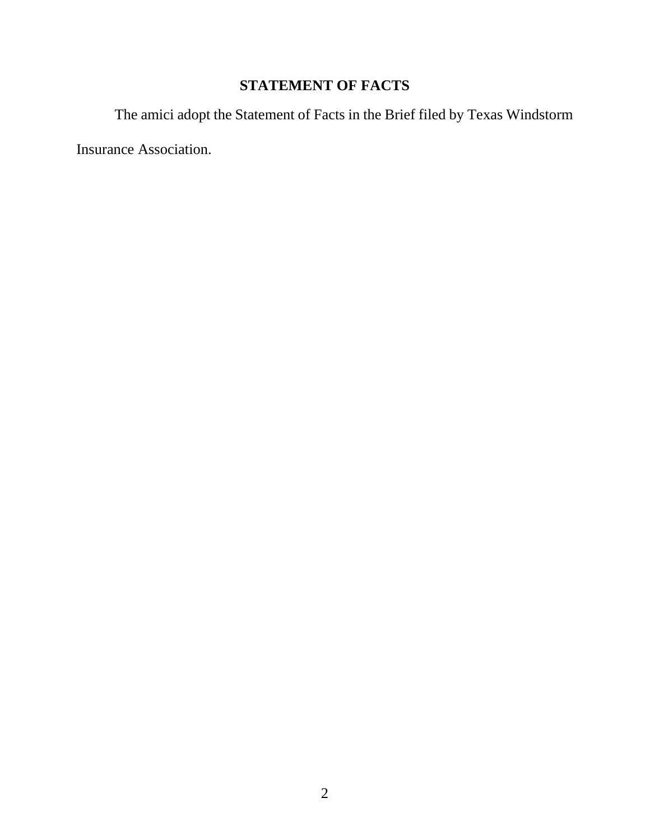# **STATEMENT OF FACTS**

The amici adopt the Statement of Facts in the Brief filed by Texas Windstorm

Insurance Association.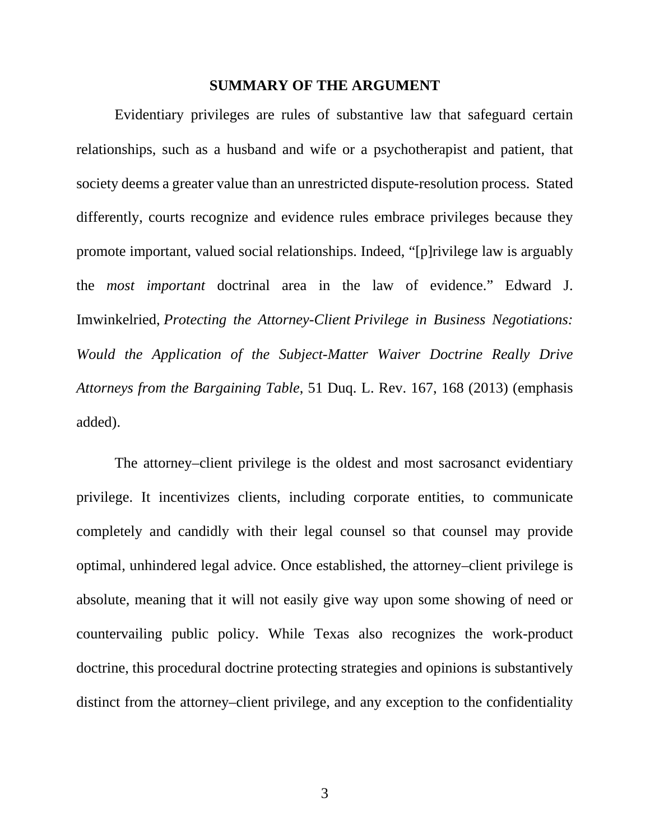#### <span id="page-10-0"></span>**SUMMARY OF THE ARGUMENT**

Evidentiary privileges are rules of substantive law that safeguard certain relationships, such as a husband and wife or a psychotherapist and patient, that society deems a greater value than an unrestricted dispute-resolution process. Stated differently, courts recognize and evidence rules embrace privileges because they promote important, valued social relationships. Indeed, "[p]rivilege law is arguably the *most important* doctrinal area in the law of evidence." Edward J. Imwinkelried, *Protecting the Attorney-Client Privilege in Business Negotiations: Would the Application of the Subject-Matter Waiver Doctrine Really Drive Attorneys from the Bargaining Table*, 51 Duq. L. Rev. 167, 168 (2013) (emphasis added).

The attorney–client privilege is the oldest and most sacrosanct evidentiary privilege. It incentivizes clients, including corporate entities, to communicate completely and candidly with their legal counsel so that counsel may provide optimal, unhindered legal advice. Once established, the attorney–client privilege is absolute, meaning that it will not easily give way upon some showing of need or countervailing public policy. While Texas also recognizes the work-product doctrine, this procedural doctrine protecting strategies and opinions is substantively distinct from the attorney–client privilege, and any exception to the confidentiality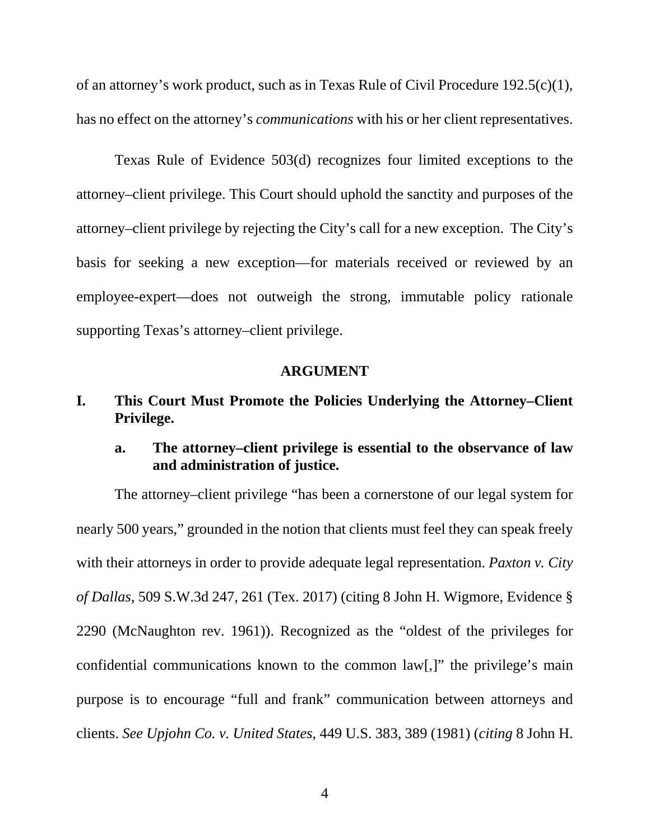<span id="page-11-3"></span>of an attorney's work product, such as in Texas Rule of Civil Procedure 192.5(c)(1), has no effect on the attorney's *communications* with his or her client representatives.

<span id="page-11-4"></span>Texas Rule of Evidence 503(d) recognizes four limited exceptions to the attorney–client privilege. This Court should uphold the sanctity and purposes of the attorney–client privilege by rejecting the City's call for a new exception. The City's basis for seeking a new exception—for materials received or reviewed by an employee-expert—does not outweigh the strong, immutable policy rationale supporting Texas's attorney–client privilege.

#### <span id="page-11-2"></span><span id="page-11-0"></span>**ARGUMENT**

## **I. This Court Must Promote the Policies Underlying the Attorney–Client Privilege.**

## **a. The attorney–client privilege is essential to the observance of law and administration of justice.**

<span id="page-11-1"></span>The attorney–client privilege "has been a cornerstone of our legal system for nearly 500 years," grounded in the notion that clients must feel they can speak freely with their attorneys in order to provide adequate legal representation. *Paxton v. City of Dallas*, 509 S.W.3d 247, 261 (Tex. 2017) (citing 8 John H. Wigmore, Evidence § 2290 (McNaughton rev. 1961)). Recognized as the "oldest of the privileges for confidential communications known to the common law[,]" the privilege's main purpose is to encourage "full and frank" communication between attorneys and clients. *See Upjohn Co. v. United States*, 449 U.S. 383, 389 (1981) (*citing* 8 John H.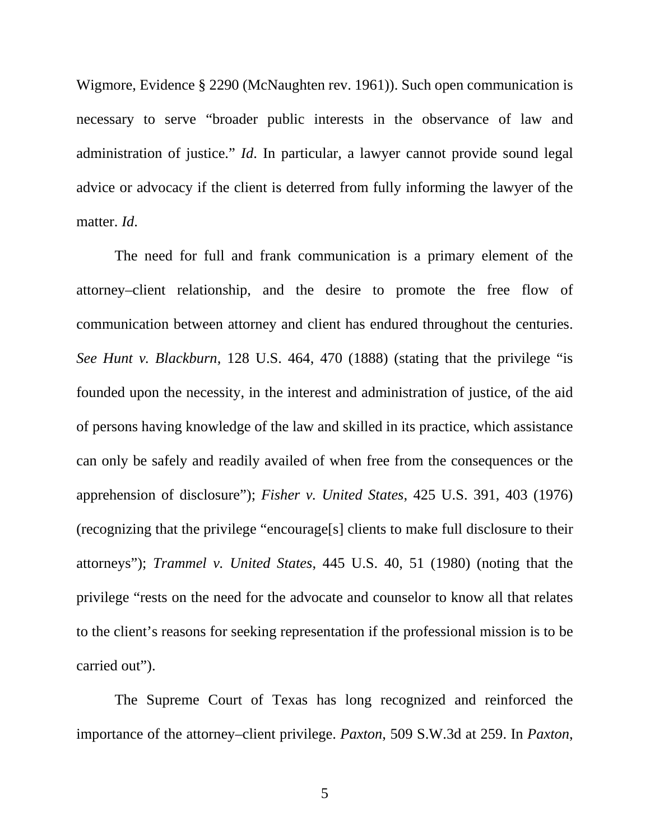Wigmore, Evidence § 2290 (McNaughten rev. 1961)). Such open communication is necessary to serve "broader public interests in the observance of law and administration of justice." *Id*. In particular, a lawyer cannot provide sound legal advice or advocacy if the client is deterred from fully informing the lawyer of the matter. *Id*.

<span id="page-12-1"></span>The need for full and frank communication is a primary element of the attorney–client relationship, and the desire to promote the free flow of communication between attorney and client has endured throughout the centuries. *See Hunt v. Blackburn*, 128 U.S. 464, 470 (1888) (stating that the privilege "is founded upon the necessity, in the interest and administration of justice, of the aid of persons having knowledge of the law and skilled in its practice, which assistance can only be safely and readily availed of when free from the consequences or the apprehension of disclosure"); *Fisher v. United States*, 425 U.S. 391, 403 (1976) (recognizing that the privilege "encourage[s] clients to make full disclosure to their attorneys"); *Trammel v. United States*, 445 U.S. 40, 51 (1980) (noting that the privilege "rests on the need for the advocate and counselor to know all that relates to the client's reasons for seeking representation if the professional mission is to be carried out").

<span id="page-12-3"></span><span id="page-12-2"></span><span id="page-12-0"></span>The Supreme Court of Texas has long recognized and reinforced the importance of the attorney–client privilege. *Paxton*, 509 S.W.3d at 259. In *Paxton*,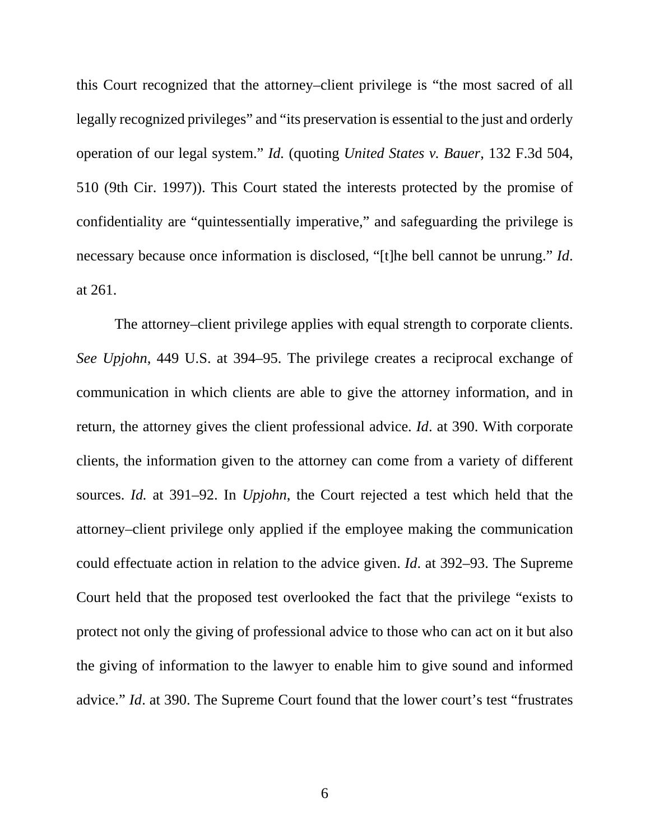<span id="page-13-0"></span>this Court recognized that the attorney–client privilege is "the most sacred of all legally recognized privileges" and "its preservation is essential to the just and orderly operation of our legal system." *Id.* (quoting *United States v. Bauer*, 132 F.3d 504, 510 (9th Cir. 1997)). This Court stated the interests protected by the promise of confidentiality are "quintessentially imperative," and safeguarding the privilege is necessary because once information is disclosed, "[t]he bell cannot be unrung." *Id*. at 261.

The attorney–client privilege applies with equal strength to corporate clients. *See Upjohn*, 449 U.S. at 394–95. The privilege creates a reciprocal exchange of communication in which clients are able to give the attorney information, and in return, the attorney gives the client professional advice. *Id*. at 390. With corporate clients, the information given to the attorney can come from a variety of different sources. *Id.* at 391–92. In *Upjohn*, the Court rejected a test which held that the attorney–client privilege only applied if the employee making the communication could effectuate action in relation to the advice given. *Id*. at 392–93. The Supreme Court held that the proposed test overlooked the fact that the privilege "exists to protect not only the giving of professional advice to those who can act on it but also the giving of information to the lawyer to enable him to give sound and informed advice." *Id*. at 390. The Supreme Court found that the lower court's test "frustrates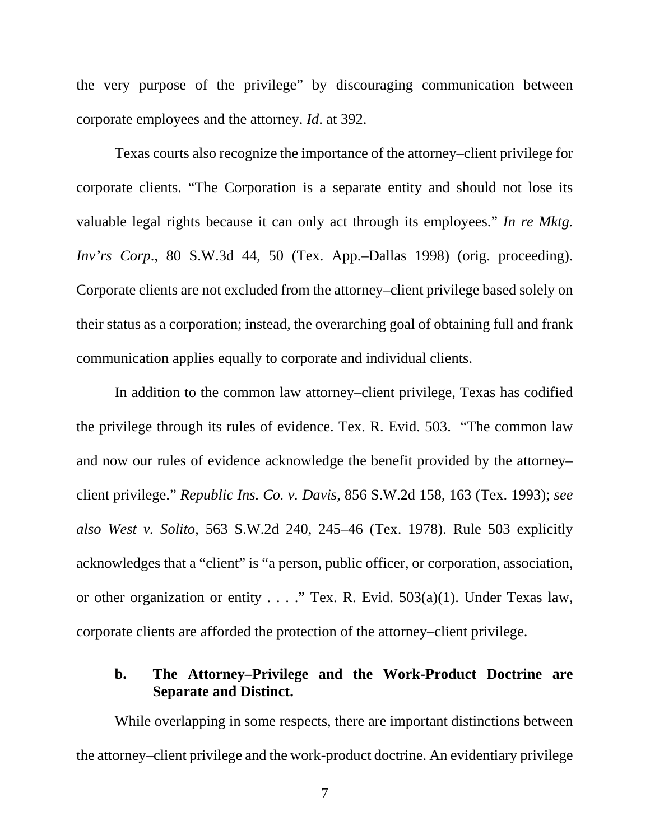the very purpose of the privilege" by discouraging communication between corporate employees and the attorney. *Id*. at 392.

<span id="page-14-0"></span>Texas courts also recognize the importance of the attorney–client privilege for corporate clients. "The Corporation is a separate entity and should not lose its valuable legal rights because it can only act through its employees." *In re Mktg. Inv'rs Corp*., 80 S.W.3d 44, 50 (Tex. App.–Dallas 1998) (orig. proceeding). Corporate clients are not excluded from the attorney–client privilege based solely on their status as a corporation; instead, the overarching goal of obtaining full and frank communication applies equally to corporate and individual clients.

<span id="page-14-3"></span><span id="page-14-2"></span><span id="page-14-1"></span>In addition to the common law attorney–client privilege, Texas has codified the privilege through its rules of evidence. Tex. R. Evid. 503. "The common law and now our rules of evidence acknowledge the benefit provided by the attorney– client privilege." *Republic Ins. Co. v. Davis*, 856 S.W.2d 158, 163 (Tex. 1993); *see also West v. Solito*, 563 S.W.2d 240, 245–46 (Tex. 1978). Rule 503 explicitly acknowledges that a "client" is "a person, public officer, or corporation, association, or other organization or entity  $\ldots$ ." Tex. R. Evid. 503(a)(1). Under Texas law, corporate clients are afforded the protection of the attorney–client privilege.

### <span id="page-14-4"></span>**b. The Attorney–Privilege and the Work-Product Doctrine are Separate and Distinct.**

While overlapping in some respects, there are important distinctions between the attorney–client privilege and the work-product doctrine. An evidentiary privilege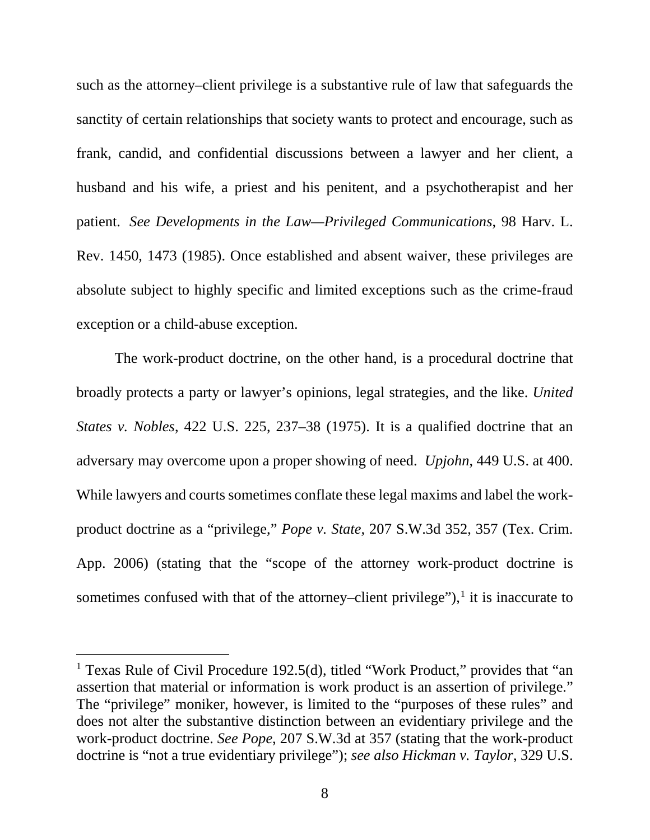<span id="page-15-3"></span>such as the attorney–client privilege is a substantive rule of law that safeguards the sanctity of certain relationships that society wants to protect and encourage, such as frank, candid, and confidential discussions between a lawyer and her client, a husband and his wife, a priest and his penitent, and a psychotherapist and her patient. *See Developments in the Law—Privileged Communications*, 98 Harv. L. Rev. 1450, 1473 (1985). Once established and absent waiver, these privileges are absolute subject to highly specific and limited exceptions such as the crime-fraud exception or a child-abuse exception.

<span id="page-15-2"></span>The work-product doctrine, on the other hand, is a procedural doctrine that broadly protects a party or lawyer's opinions, legal strategies, and the like. *United States v. Nobles*, 422 U.S. 225, 237–38 (1975). It is a qualified doctrine that an adversary may overcome upon a proper showing of need. *Upjohn*, 449 U.S. at 400. While lawyers and courts sometimes conflate these legal maxims and label the workproduct doctrine as a "privilege," *Pope v. State*, 207 S.W.3d 352, 357 (Tex. Crim. App. 2006) (stating that the "scope of the attorney work-product doctrine is sometimes confused with that of the attorney–client privilege"), $\frac{1}{1}$  $\frac{1}{1}$  $\frac{1}{1}$  it is inaccurate to

<span id="page-15-5"></span><span id="page-15-4"></span><span id="page-15-1"></span><span id="page-15-0"></span><sup>&</sup>lt;sup>1</sup> Texas Rule of Civil Procedure 192.5(d), titled "Work Product," provides that "an assertion that material or information is work product is an assertion of privilege." The "privilege" moniker, however, is limited to the "purposes of these rules" and does not alter the substantive distinction between an evidentiary privilege and the work-product doctrine. *See Pope*, 207 S.W.3d at 357 (stating that the work-product doctrine is "not a true evidentiary privilege"); *see also Hickman v. Taylor*, 329 U.S.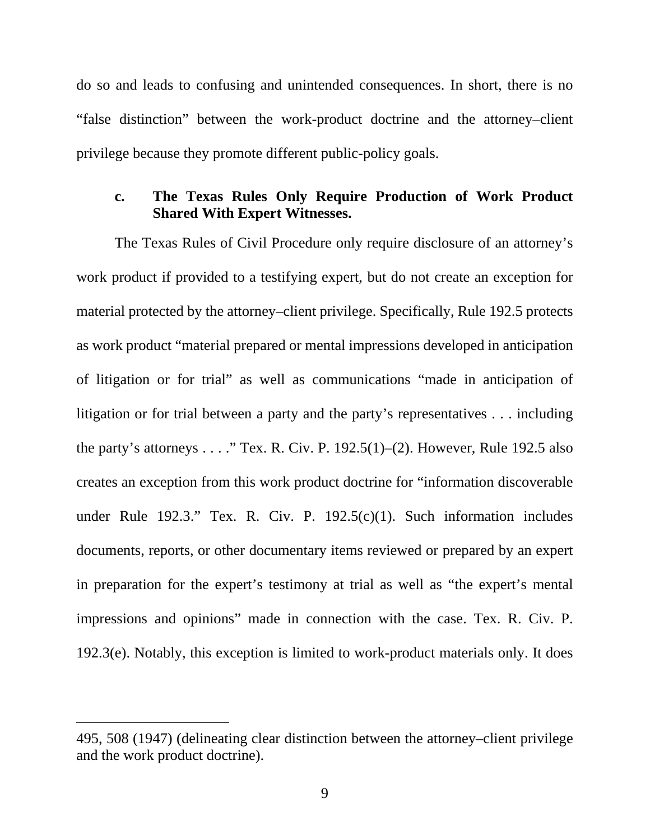do so and leads to confusing and unintended consequences. In short, there is no "false distinction" between the work-product doctrine and the attorney–client privilege because they promote different public-policy goals.

## <span id="page-16-2"></span>**c. The Texas Rules Only Require Production of Work Product Shared With Expert Witnesses.**

<span id="page-16-3"></span>The Texas Rules of Civil Procedure only require disclosure of an attorney's work product if provided to a testifying expert, but do not create an exception for material protected by the attorney–client privilege. Specifically, Rule 192.5 protects as work product "material prepared or mental impressions developed in anticipation of litigation or for trial" as well as communications "made in anticipation of litigation or for trial between a party and the party's representatives . . . including the party's attorneys  $\dots$  " Tex. R. Civ. P. 192.5(1)–(2). However, Rule 192.5 also creates an exception from this work product doctrine for "information discoverable under Rule 192.3." Tex. R. Civ. P. 192.5(c)(1). Such information includes documents, reports, or other documentary items reviewed or prepared by an expert in preparation for the expert's testimony at trial as well as "the expert's mental impressions and opinions" made in connection with the case. Tex. R. Civ. P. 192.3(e). Notably, this exception is limited to work-product materials only. It does

<span id="page-16-4"></span><span id="page-16-1"></span><span id="page-16-0"></span> $\overline{a}$ 

<sup>495, 508 (1947) (</sup>delineating clear distinction between the attorney–client privilege and the work product doctrine).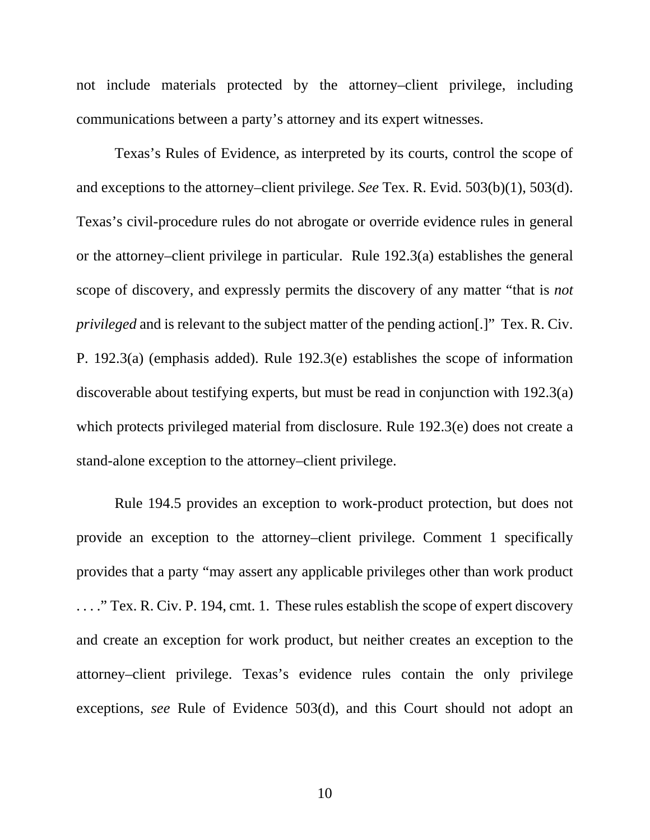not include materials protected by the attorney–client privilege, including communications between a party's attorney and its expert witnesses.

<span id="page-17-4"></span><span id="page-17-0"></span>Texas's Rules of Evidence, as interpreted by its courts, control the scope of and exceptions to the attorney–client privilege. *See* Tex. R. Evid. 503(b)(1), 503(d). Texas's civil-procedure rules do not abrogate or override evidence rules in general or the attorney–client privilege in particular. Rule 192.3(a) establishes the general scope of discovery, and expressly permits the discovery of any matter "that is *not privileged* and is relevant to the subject matter of the pending action[.]" Tex. R. Civ. P. 192.3(a) (emphasis added). Rule 192.3(e) establishes the scope of information discoverable about testifying experts, but must be read in conjunction with 192.3(a) which protects privileged material from disclosure. Rule 192.3(e) does not create a stand-alone exception to the attorney–client privilege.

<span id="page-17-5"></span><span id="page-17-3"></span><span id="page-17-2"></span><span id="page-17-1"></span>Rule 194.5 provides an exception to work-product protection, but does not provide an exception to the attorney–client privilege. Comment 1 specifically provides that a party "may assert any applicable privileges other than work product . . . ." Tex. R. Civ. P. 194, cmt. 1. These rules establish the scope of expert discovery and create an exception for work product, but neither creates an exception to the attorney–client privilege. Texas's evidence rules contain the only privilege exceptions, *see* Rule of Evidence 503(d), and this Court should not adopt an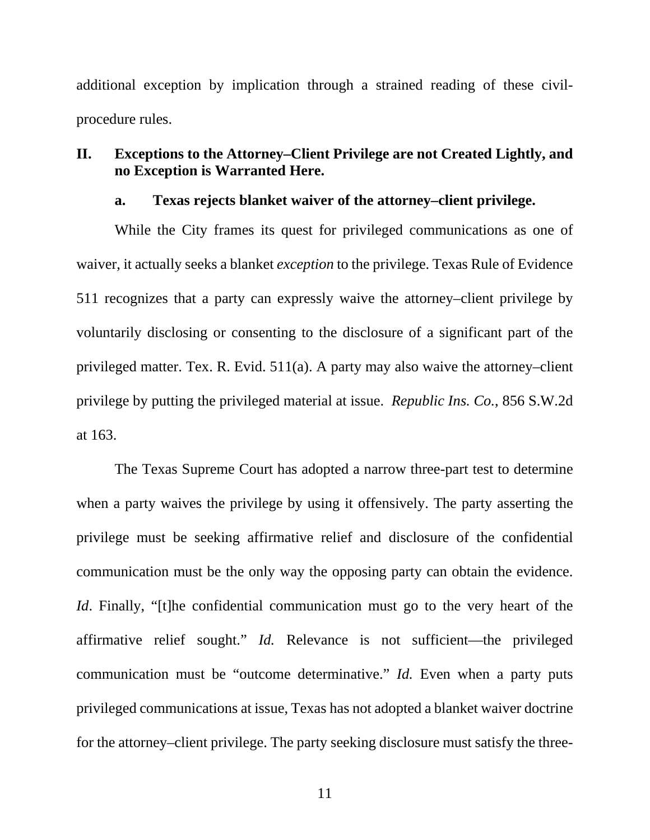additional exception by implication through a strained reading of these civilprocedure rules.

## **II. Exceptions to the Attorney–Client Privilege are not Created Lightly, and no Exception is Warranted Here.**

#### <span id="page-18-1"></span>**a. Texas rejects blanket waiver of the attorney–client privilege.**

While the City frames its quest for privileged communications as one of waiver, it actually seeks a blanket *exception* to the privilege. Texas Rule of Evidence 511 recognizes that a party can expressly waive the attorney–client privilege by voluntarily disclosing or consenting to the disclosure of a significant part of the privileged matter. Tex. R. Evid. 511(a). A party may also waive the attorney–client privilege by putting the privileged material at issue. *Republic Ins. Co.*, 856 S.W.2d at 163.

<span id="page-18-2"></span><span id="page-18-0"></span>The Texas Supreme Court has adopted a narrow three-part test to determine when a party waives the privilege by using it offensively. The party asserting the privilege must be seeking affirmative relief and disclosure of the confidential communication must be the only way the opposing party can obtain the evidence. *Id*. Finally, "[t]he confidential communication must go to the very heart of the affirmative relief sought." *Id.* Relevance is not sufficient—the privileged communication must be "outcome determinative." *Id.* Even when a party puts privileged communications at issue, Texas has not adopted a blanket waiver doctrine for the attorney–client privilege. The party seeking disclosure must satisfy the three-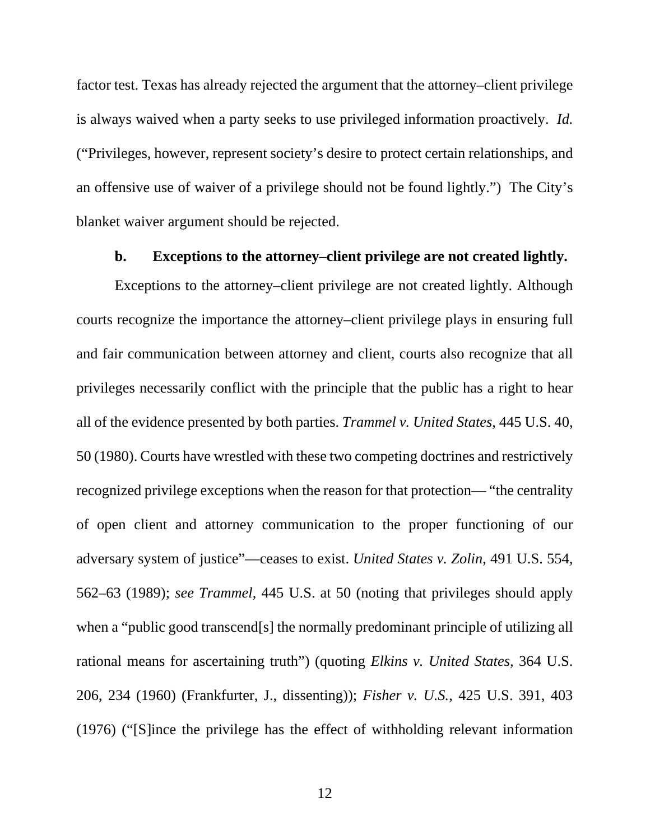factor test. Texas has already rejected the argument that the attorney–client privilege is always waived when a party seeks to use privileged information proactively. *Id.* ("Privileges, however, represent society's desire to protect certain relationships, and an offensive use of waiver of a privilege should not be found lightly.") The City's blanket waiver argument should be rejected.

#### <span id="page-19-3"></span><span id="page-19-2"></span><span id="page-19-1"></span>**b. Exceptions to the attorney–client privilege are not created lightly.**

<span id="page-19-0"></span>Exceptions to the attorney–client privilege are not created lightly. Although courts recognize the importance the attorney–client privilege plays in ensuring full and fair communication between attorney and client, courts also recognize that all privileges necessarily conflict with the principle that the public has a right to hear all of the evidence presented by both parties. *Trammel v. United States*, 445 U.S. 40, 50 (1980). Courts have wrestled with these two competing doctrines and restrictively recognized privilege exceptions when the reason for that protection— "the centrality of open client and attorney communication to the proper functioning of our adversary system of justice"—ceases to exist. *United States v. Zolin*, 491 U.S. 554, 562–63 (1989); *see Trammel*, 445 U.S. at 50 (noting that privileges should apply when a "public good transcend[s] the normally predominant principle of utilizing all rational means for ascertaining truth") (quoting *Elkins v. United States*, 364 U.S. 206, 234 (1960) (Frankfurter, J., dissenting)); *Fisher v. U.S.*, 425 U.S. 391, 403 (1976) ("[S]ince the privilege has the effect of withholding relevant information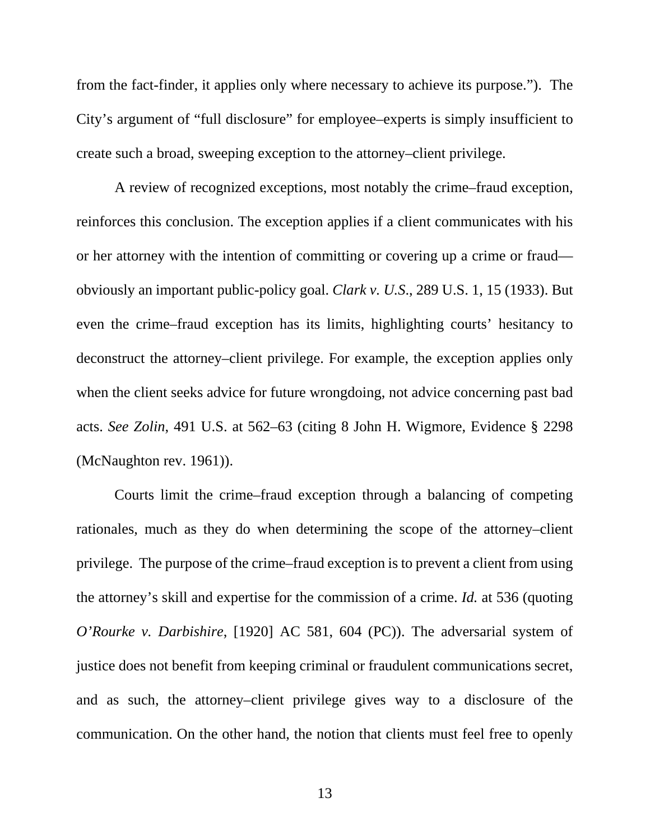from the fact-finder, it applies only where necessary to achieve its purpose."). The City's argument of "full disclosure" for employee–experts is simply insufficient to create such a broad, sweeping exception to the attorney–client privilege.

<span id="page-20-0"></span>A review of recognized exceptions, most notably the crime–fraud exception, reinforces this conclusion. The exception applies if a client communicates with his or her attorney with the intention of committing or covering up a crime or fraud obviously an important public-policy goal. *Clark v. U.S*., 289 U.S. 1, 15 (1933). But even the crime–fraud exception has its limits, highlighting courts' hesitancy to deconstruct the attorney–client privilege. For example, the exception applies only when the client seeks advice for future wrongdoing, not advice concerning past bad acts. *See Zolin*, 491 U.S. at 562–63 (citing 8 John H. Wigmore, Evidence § 2298 (McNaughton rev. 1961)).

<span id="page-20-1"></span>Courts limit the crime–fraud exception through a balancing of competing rationales, much as they do when determining the scope of the attorney–client privilege. The purpose of the crime–fraud exception is to prevent a client from using the attorney's skill and expertise for the commission of a crime. *Id.* at 536 (quoting *O'Rourke v. Darbishire*, [1920] AC 581, 604 (PC)). The adversarial system of justice does not benefit from keeping criminal or fraudulent communications secret, and as such, the attorney–client privilege gives way to a disclosure of the communication. On the other hand, the notion that clients must feel free to openly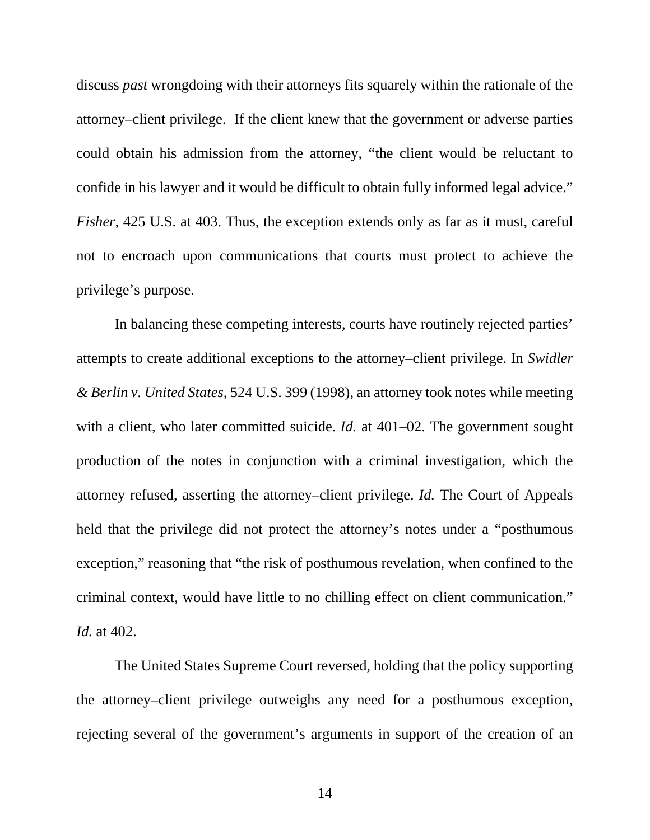discuss *past* wrongdoing with their attorneys fits squarely within the rationale of the attorney–client privilege. If the client knew that the government or adverse parties could obtain his admission from the attorney, "the client would be reluctant to confide in his lawyer and it would be difficult to obtain fully informed legal advice." *Fisher*, 425 U.S. at 403. Thus, the exception extends only as far as it must, careful not to encroach upon communications that courts must protect to achieve the privilege's purpose.

<span id="page-21-1"></span><span id="page-21-0"></span>In balancing these competing interests, courts have routinely rejected parties' attempts to create additional exceptions to the attorney–client privilege. In *Swidler & Berlin v. United States*, 524 U.S. 399 (1998), an attorney took notes while meeting with a client, who later committed suicide. *Id.* at 401–02. The government sought production of the notes in conjunction with a criminal investigation, which the attorney refused, asserting the attorney–client privilege. *Id.* The Court of Appeals held that the privilege did not protect the attorney's notes under a "posthumous exception," reasoning that "the risk of posthumous revelation, when confined to the criminal context, would have little to no chilling effect on client communication." *Id.* at 402.

The United States Supreme Court reversed, holding that the policy supporting the attorney–client privilege outweighs any need for a posthumous exception, rejecting several of the government's arguments in support of the creation of an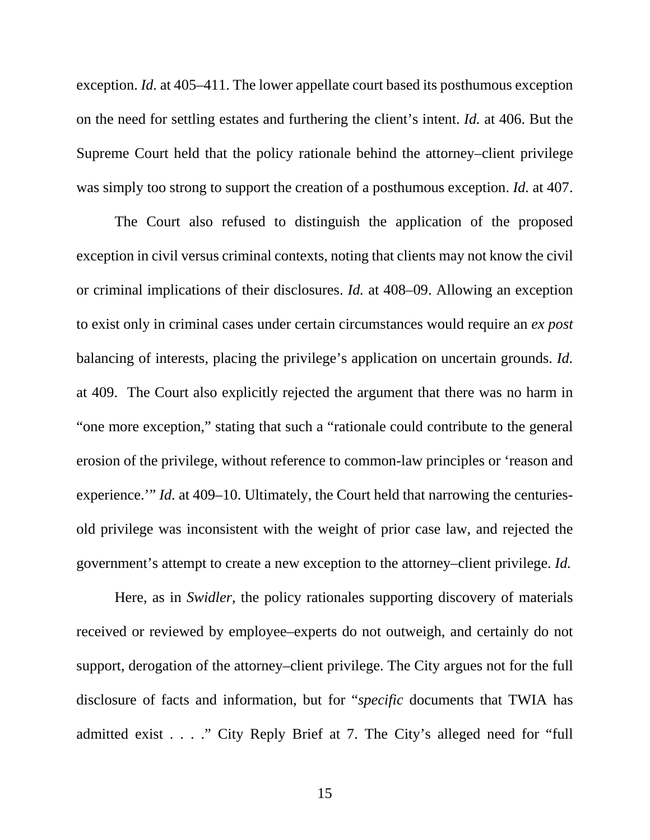<span id="page-22-0"></span>exception. *Id.* at 405–411. The lower appellate court based its posthumous exception on the need for settling estates and furthering the client's intent. *Id.* at 406. But the Supreme Court held that the policy rationale behind the attorney–client privilege was simply too strong to support the creation of a posthumous exception. *Id.* at 407.

The Court also refused to distinguish the application of the proposed exception in civil versus criminal contexts, noting that clients may not know the civil or criminal implications of their disclosures. *Id.* at 408–09. Allowing an exception to exist only in criminal cases under certain circumstances would require an *ex post* balancing of interests, placing the privilege's application on uncertain grounds. *Id.* at 409. The Court also explicitly rejected the argument that there was no harm in "one more exception," stating that such a "rationale could contribute to the general erosion of the privilege, without reference to common-law principles or 'reason and experience.'" *Id.* at 409–10. Ultimately, the Court held that narrowing the centuriesold privilege was inconsistent with the weight of prior case law, and rejected the government's attempt to create a new exception to the attorney–client privilege. *Id.*

Here, as in *Swidler*, the policy rationales supporting discovery of materials received or reviewed by employee–experts do not outweigh, and certainly do not support, derogation of the attorney–client privilege. The City argues not for the full disclosure of facts and information, but for "*specific* documents that TWIA has admitted exist . . . ." City Reply Brief at 7. The City's alleged need for "full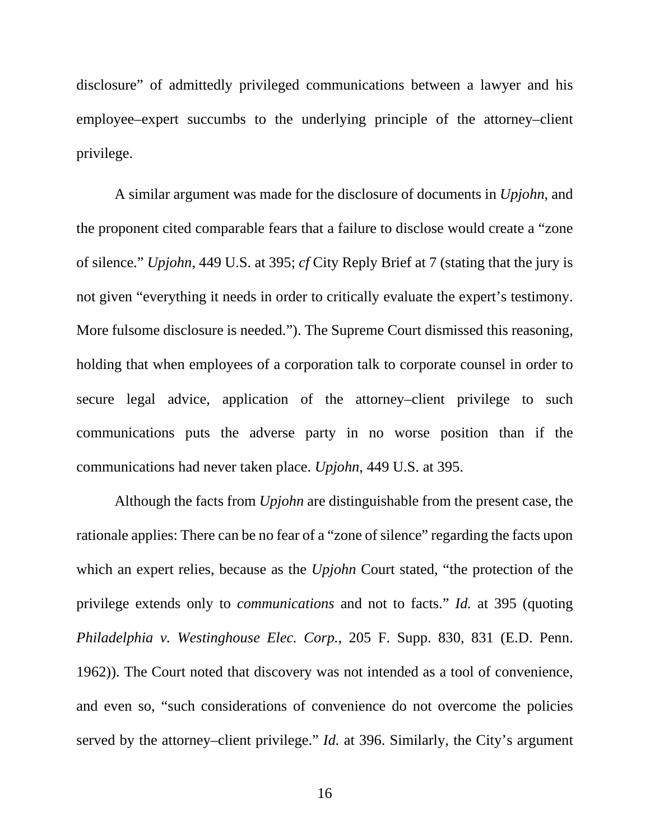disclosure" of admittedly privileged communications between a lawyer and his employee–expert succumbs to the underlying principle of the attorney–client privilege.

A similar argument was made for the disclosure of documents in *Upjohn*, and the proponent cited comparable fears that a failure to disclose would create a "zone of silence." *Upjohn*, 449 U.S. at 395; *cf* City Reply Brief at 7 (stating that the jury is not given "everything it needs in order to critically evaluate the expert's testimony. More fulsome disclosure is needed."). The Supreme Court dismissed this reasoning, holding that when employees of a corporation talk to corporate counsel in order to secure legal advice, application of the attorney–client privilege to such communications puts the adverse party in no worse position than if the communications had never taken place. *Upjohn*, 449 U.S. at 395.

Although the facts from *Upjohn* are distinguishable from the present case, the rationale applies: There can be no fear of a "zone of silence" regarding the facts upon which an expert relies, because as the *Upjohn* Court stated, "the protection of the privilege extends only to *communications* and not to facts." *Id.* at 395 (quoting *Philadelphia v. Westinghouse Elec. Corp.*, 205 F. Supp. 830, 831 (E.D. Penn. 1962)). The Court noted that discovery was not intended as a tool of convenience, and even so, "such considerations of convenience do not overcome the policies served by the attorney–client privilege." *Id.* at 396. Similarly, the City's argument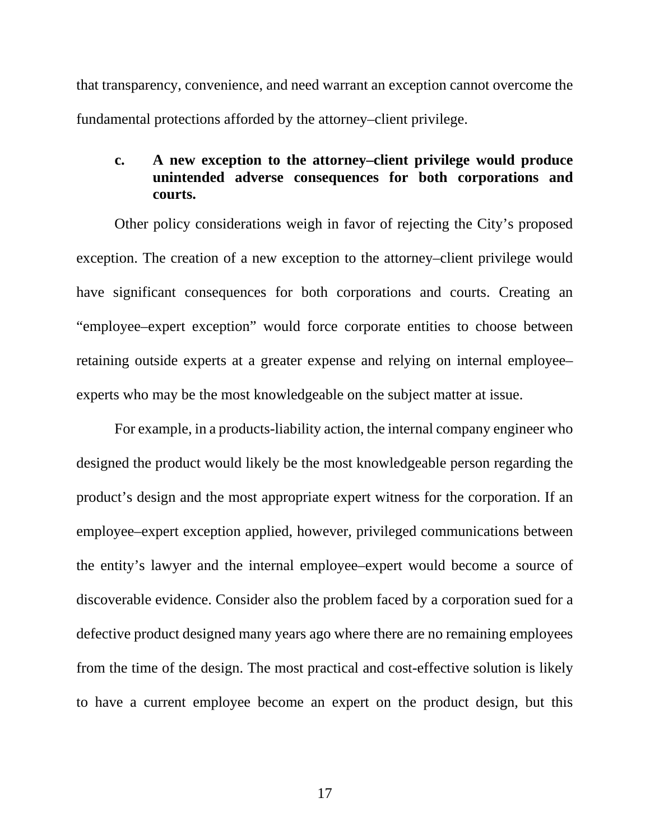that transparency, convenience, and need warrant an exception cannot overcome the fundamental protections afforded by the attorney–client privilege.

## **c. A new exception to the attorney–client privilege would produce unintended adverse consequences for both corporations and courts.**

Other policy considerations weigh in favor of rejecting the City's proposed exception. The creation of a new exception to the attorney–client privilege would have significant consequences for both corporations and courts. Creating an "employee–expert exception" would force corporate entities to choose between retaining outside experts at a greater expense and relying on internal employee– experts who may be the most knowledgeable on the subject matter at issue.

For example, in a products-liability action, the internal company engineer who designed the product would likely be the most knowledgeable person regarding the product's design and the most appropriate expert witness for the corporation. If an employee–expert exception applied, however, privileged communications between the entity's lawyer and the internal employee–expert would become a source of discoverable evidence. Consider also the problem faced by a corporation sued for a defective product designed many years ago where there are no remaining employees from the time of the design. The most practical and cost-effective solution is likely to have a current employee become an expert on the product design, but this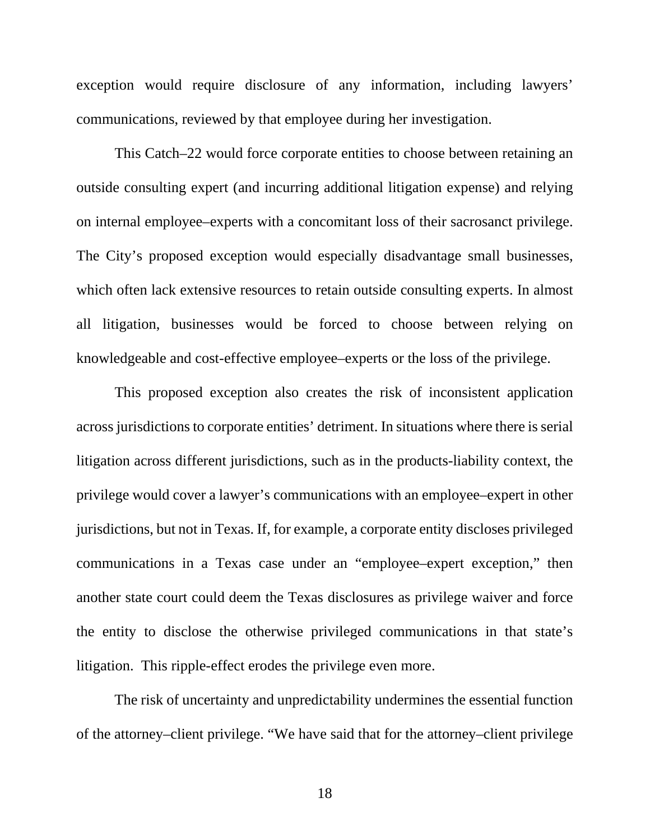exception would require disclosure of any information, including lawyers' communications, reviewed by that employee during her investigation.

This Catch–22 would force corporate entities to choose between retaining an outside consulting expert (and incurring additional litigation expense) and relying on internal employee–experts with a concomitant loss of their sacrosanct privilege. The City's proposed exception would especially disadvantage small businesses, which often lack extensive resources to retain outside consulting experts. In almost all litigation, businesses would be forced to choose between relying on knowledgeable and cost-effective employee–experts or the loss of the privilege.

This proposed exception also creates the risk of inconsistent application across jurisdictions to corporate entities' detriment. In situations where there is serial litigation across different jurisdictions, such as in the products-liability context, the privilege would cover a lawyer's communications with an employee–expert in other jurisdictions, but not in Texas. If, for example, a corporate entity discloses privileged communications in a Texas case under an "employee–expert exception," then another state court could deem the Texas disclosures as privilege waiver and force the entity to disclose the otherwise privileged communications in that state's litigation. This ripple-effect erodes the privilege even more.

The risk of uncertainty and unpredictability undermines the essential function of the attorney–client privilege. "We have said that for the attorney–client privilege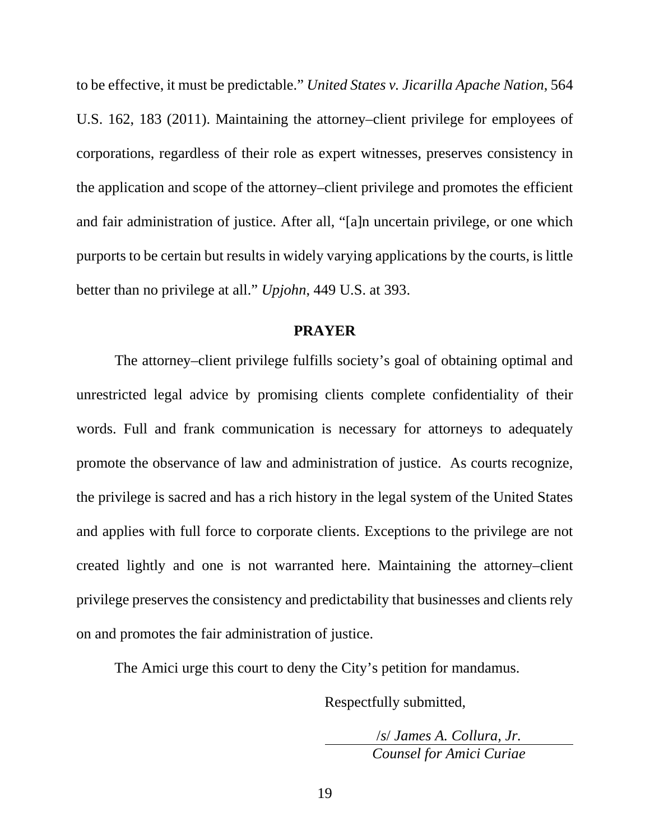<span id="page-26-0"></span>to be effective, it must be predictable." *United States v. Jicarilla Apache Nation*, 564 U.S. 162, 183 (2011). Maintaining the attorney–client privilege for employees of corporations, regardless of their role as expert witnesses, preserves consistency in the application and scope of the attorney–client privilege and promotes the efficient and fair administration of justice. After all, "[a]n uncertain privilege, or one which purports to be certain but results in widely varying applications by the courts, is little better than no privilege at all." *Upjohn*, 449 U.S. at 393.

#### **PRAYER**

The attorney–client privilege fulfills society's goal of obtaining optimal and unrestricted legal advice by promising clients complete confidentiality of their words. Full and frank communication is necessary for attorneys to adequately promote the observance of law and administration of justice. As courts recognize, the privilege is sacred and has a rich history in the legal system of the United States and applies with full force to corporate clients. Exceptions to the privilege are not created lightly and one is not warranted here. Maintaining the attorney–client privilege preserves the consistency and predictability that businesses and clients rely on and promotes the fair administration of justice.

The Amici urge this court to deny the City's petition for mandamus.

Respectfully submitted,

/*s*/ *James A. Collura, Jr. Counsel for Amici Curiae*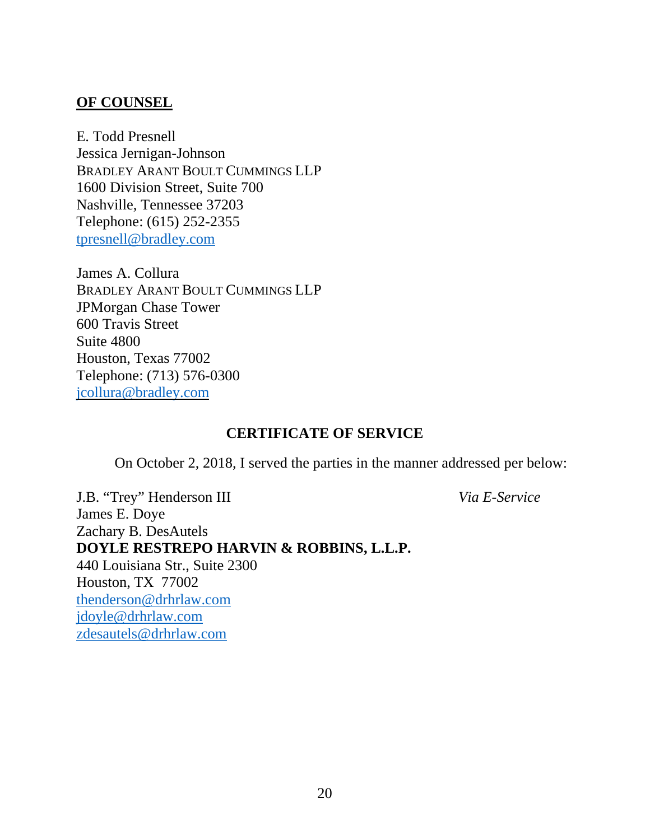### **OF COUNSEL**

E. Todd Presnell Jessica Jernigan-Johnson BRADLEY ARANT BOULT CUMMINGS LLP 1600 Division Street, Suite 700 Nashville, Tennessee 37203 Telephone: (615) 252-2355 [tpresnell@bradley.com](mailto:tpresnell@bradley.com)

James A. Collura BRADLEY ARANT BOULT CUMMINGS LLP JPMorgan Chase Tower 600 Travis Street Suite 4800 Houston, Texas 77002 Telephone: (713) 576-0300 [jcollura@bradley.com](mailto:jcollura@bradley.com)

## **CERTIFICATE OF SERVICE**

On October 2, 2018, I served the parties in the manner addressed per below:

J.B. "Trey" Henderson III *Via E-Service* James E. Doye Zachary B. DesAutels **DOYLE RESTREPO HARVIN & ROBBINS, L.L.P.** 440 Louisiana Str., Suite 2300 Houston, TX 77002 [thenderson@drhrlaw.com](mailto:thenderson@drhrlaw.com) [jdoyle@drhrlaw.com](mailto:jdoyle@drhrlaw.com) [zdesautels@drhrlaw.com](mailto:zdesautels@drhrlaw.com)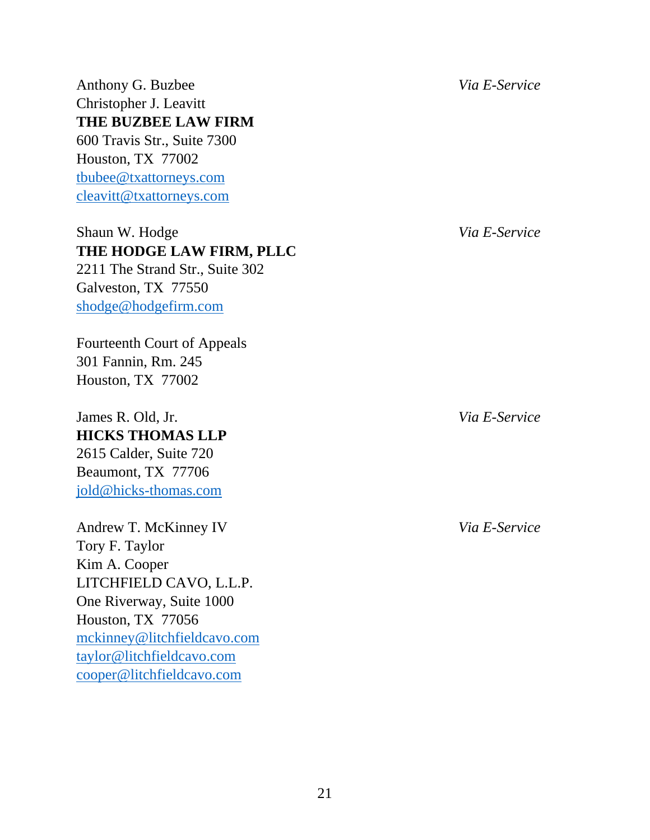Anthony G. Buzbee *Via E-Service* Christopher J. Leavitt **THE BUZBEE LAW FIRM** 600 Travis Str., Suite 7300 Houston, TX 77002 [tbubee@txattorneys.com](mailto:tbubee@txattorneys.com) [cleavitt@txattorneys.com](mailto:cleavitt@txattorneys.com)

## Shaun W. Hodge *Via E-Service* **THE HODGE LAW FIRM, PLLC** 2211 The Strand Str., Suite 302

Galveston, TX 77550 [shodge@hodgefirm.com](mailto:shodge@hodgefirm.com)

Fourteenth Court of Appeals 301 Fannin, Rm. 245 Houston, TX 77002

James R. Old, Jr. *Via E-Service* **HICKS THOMAS LLP** 2615 Calder, Suite 720 Beaumont, TX 77706 [jold@hicks-thomas.com](mailto:jold@hicks-thomas.com)

Andrew T. McKinney IV *Via E-Service* Tory F. Taylor Kim A. Cooper LITCHFIELD CAVO, L.L.P. One Riverway, Suite 1000 Houston, TX 77056 [mckinney@litchfieldcavo.com](mailto:mckinney@litchfieldcavo.com) [taylor@litchfieldcavo.com](mailto:taylor@litchfieldcavo.com) [cooper@litchfieldcavo.com](mailto:cooper@litchfieldcavo.com)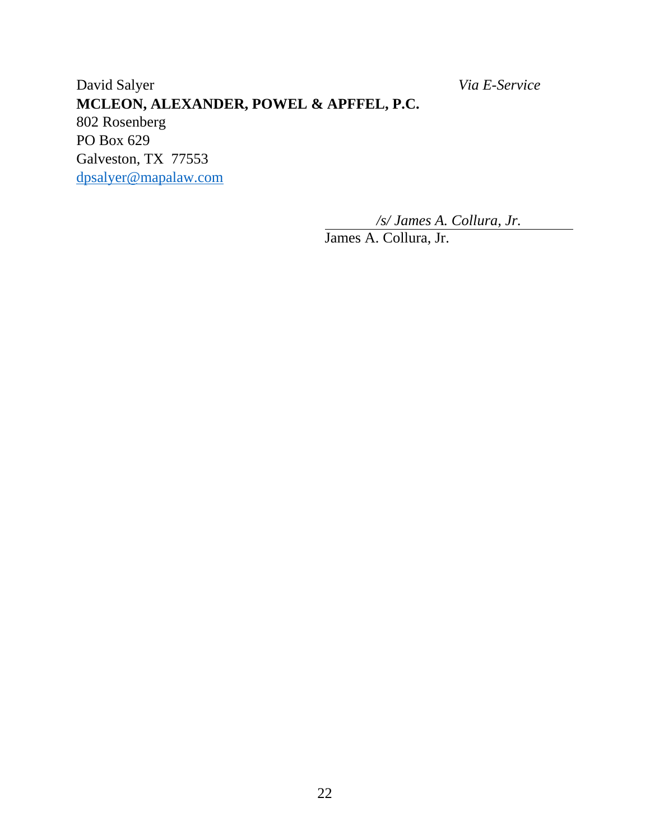David Salyer *Via E-Service* **MCLEON, ALEXANDER, POWEL & APFFEL, P.C.** 802 Rosenberg PO Box 629 Galveston, TX 77553 [dpsalyer@mapalaw.com](mailto:dpsalyer@mapalaw.com)

*/s/ James A. Collura, Jr.*

James A. Collura, Jr.